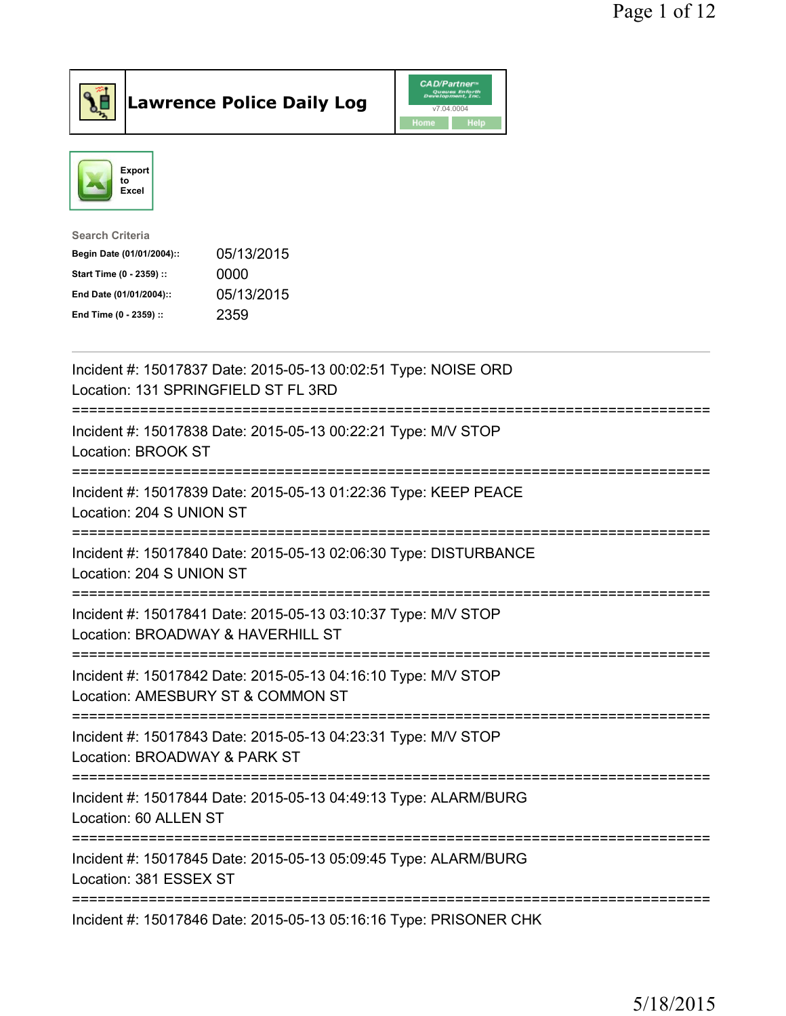



| <b>Search Criteria</b>    |            |
|---------------------------|------------|
| Begin Date (01/01/2004):: | 05/13/2015 |
| Start Time (0 - 2359) ::  | 0000       |
| End Date (01/01/2004)::   | 05/13/2015 |
| End Time (0 - 2359) ::    | 2359       |

| Incident #: 15017837 Date: 2015-05-13 00:02:51 Type: NOISE ORD<br>Location: 131 SPRINGFIELD ST FL 3RD          |
|----------------------------------------------------------------------------------------------------------------|
| Incident #: 15017838 Date: 2015-05-13 00:22:21 Type: M/V STOP<br>Location: BROOK ST                            |
| Incident #: 15017839 Date: 2015-05-13 01:22:36 Type: KEEP PEACE<br>Location: 204 S UNION ST                    |
| Incident #: 15017840 Date: 2015-05-13 02:06:30 Type: DISTURBANCE<br>Location: 204 S UNION ST                   |
| Incident #: 15017841 Date: 2015-05-13 03:10:37 Type: M/V STOP<br>Location: BROADWAY & HAVERHILL ST             |
| Incident #: 15017842 Date: 2015-05-13 04:16:10 Type: M/V STOP<br>Location: AMESBURY ST & COMMON ST             |
| Incident #: 15017843 Date: 2015-05-13 04:23:31 Type: M/V STOP<br>Location: BROADWAY & PARK ST<br>============= |
| Incident #: 15017844 Date: 2015-05-13 04:49:13 Type: ALARM/BURG<br>Location: 60 ALLEN ST                       |
| Incident #: 15017845 Date: 2015-05-13 05:09:45 Type: ALARM/BURG<br>Location: 381 ESSEX ST                      |
| Incident #: 15017846 Date: 2015-05-13 05:16:16 Type: PRISONER CHK                                              |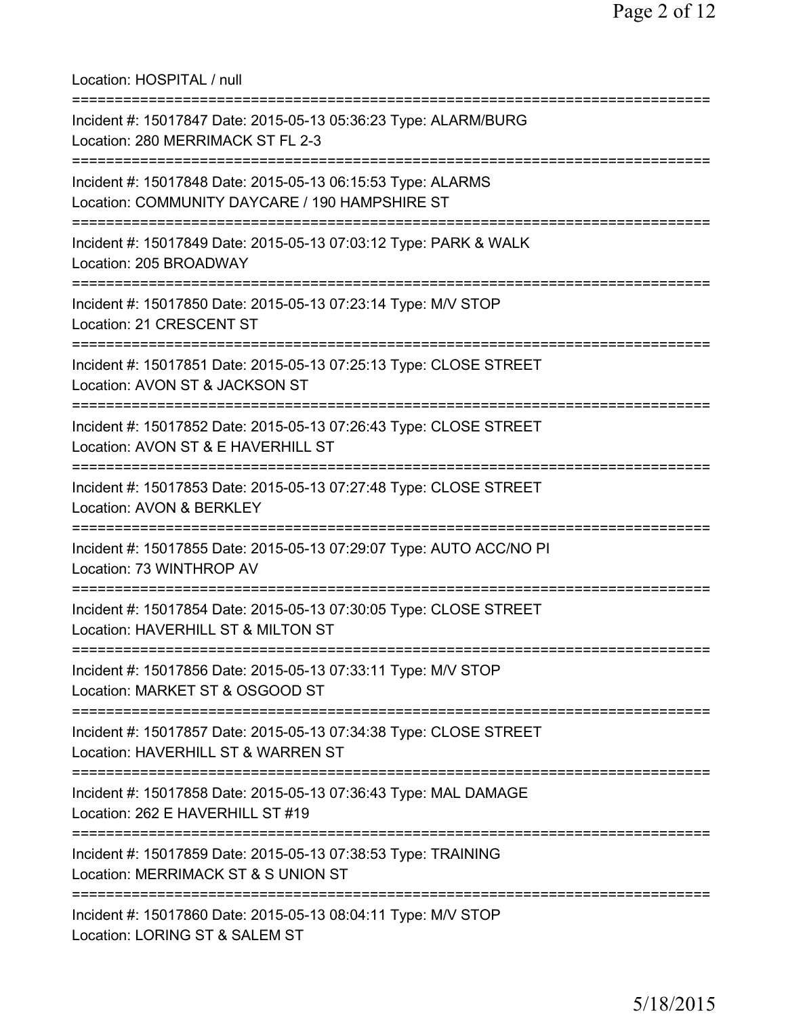Location: HOSPITAL / null =========================================================================== Incident #: 15017847 Date: 2015-05-13 05:36:23 Type: ALARM/BURG Location: 280 MERRIMACK ST FL 2-3 =========================================================================== Incident #: 15017848 Date: 2015-05-13 06:15:53 Type: ALARMS Location: COMMUNITY DAYCARE / 190 HAMPSHIRE ST =========================================================================== Incident #: 15017849 Date: 2015-05-13 07:03:12 Type: PARK & WALK Location: 205 BROADWAY =========================================================================== Incident #: 15017850 Date: 2015-05-13 07:23:14 Type: M/V STOP Location: 21 CRESCENT ST =========================================================================== Incident #: 15017851 Date: 2015-05-13 07:25:13 Type: CLOSE STREET Location: AVON ST & JACKSON ST =========================================================================== Incident #: 15017852 Date: 2015-05-13 07:26:43 Type: CLOSE STREET Location: AVON ST & E HAVERHILL ST =========================================================================== Incident #: 15017853 Date: 2015-05-13 07:27:48 Type: CLOSE STREET Location: AVON & BERKLEY =========================================================================== Incident #: 15017855 Date: 2015-05-13 07:29:07 Type: AUTO ACC/NO PI Location: 73 WINTHROP AV =========================================================================== Incident #: 15017854 Date: 2015-05-13 07:30:05 Type: CLOSE STREET Location: HAVERHILL ST & MILTON ST =========================================================================== Incident #: 15017856 Date: 2015-05-13 07:33:11 Type: M/V STOP Location: MARKET ST & OSGOOD ST =========================================================================== Incident #: 15017857 Date: 2015-05-13 07:34:38 Type: CLOSE STREET Location: HAVERHILL ST & WARREN ST =========================================================================== Incident #: 15017858 Date: 2015-05-13 07:36:43 Type: MAL DAMAGE Location: 262 E HAVERHILL ST #19 =========================================================================== Incident #: 15017859 Date: 2015-05-13 07:38:53 Type: TRAINING Location: MERRIMACK ST & S UNION ST =========================================================================== Incident #: 15017860 Date: 2015-05-13 08:04:11 Type: M/V STOP Location: LORING ST & SALEM ST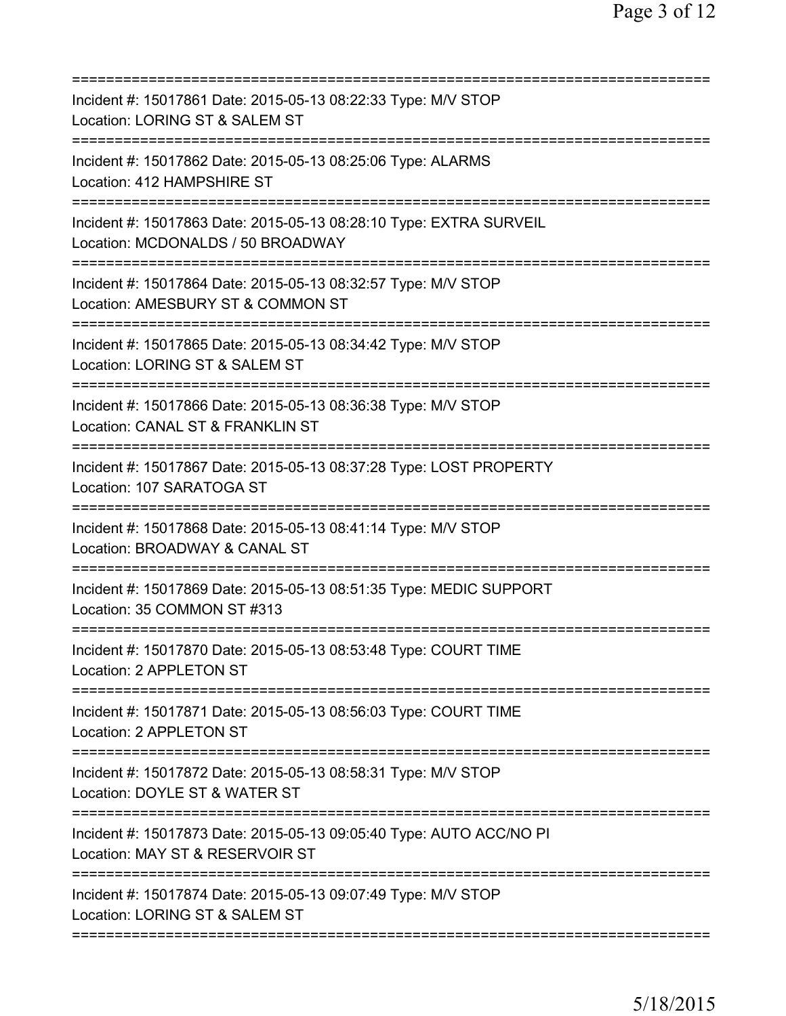| ========================                                                                                                             |
|--------------------------------------------------------------------------------------------------------------------------------------|
| Incident #: 15017861 Date: 2015-05-13 08:22:33 Type: M/V STOP<br>Location: LORING ST & SALEM ST                                      |
| Incident #: 15017862 Date: 2015-05-13 08:25:06 Type: ALARMS<br>Location: 412 HAMPSHIRE ST                                            |
| Incident #: 15017863 Date: 2015-05-13 08:28:10 Type: EXTRA SURVEIL<br>Location: MCDONALDS / 50 BROADWAY<br>========================= |
| Incident #: 15017864 Date: 2015-05-13 08:32:57 Type: M/V STOP<br>Location: AMESBURY ST & COMMON ST<br>=====================          |
| Incident #: 15017865 Date: 2015-05-13 08:34:42 Type: M/V STOP<br>Location: LORING ST & SALEM ST                                      |
| Incident #: 15017866 Date: 2015-05-13 08:36:38 Type: M/V STOP<br>Location: CANAL ST & FRANKLIN ST                                    |
| Incident #: 15017867 Date: 2015-05-13 08:37:28 Type: LOST PROPERTY<br>Location: 107 SARATOGA ST                                      |
| Incident #: 15017868 Date: 2015-05-13 08:41:14 Type: M/V STOP<br>Location: BROADWAY & CANAL ST                                       |
| Incident #: 15017869 Date: 2015-05-13 08:51:35 Type: MEDIC SUPPORT<br>Location: 35 COMMON ST #313<br>===========                     |
| Incident #: 15017870 Date: 2015-05-13 08:53:48 Type: COURT TIME<br>Location: 2 APPLETON ST                                           |
| Incident #: 15017871 Date: 2015-05-13 08:56:03 Type: COURT TIME<br>Location: 2 APPLETON ST                                           |
| Incident #: 15017872 Date: 2015-05-13 08:58:31 Type: M/V STOP<br>Location: DOYLE ST & WATER ST                                       |
| Incident #: 15017873 Date: 2015-05-13 09:05:40 Type: AUTO ACC/NO PI<br>Location: MAY ST & RESERVOIR ST                               |
| Incident #: 15017874 Date: 2015-05-13 09:07:49 Type: M/V STOP<br>Location: LORING ST & SALEM ST                                      |
|                                                                                                                                      |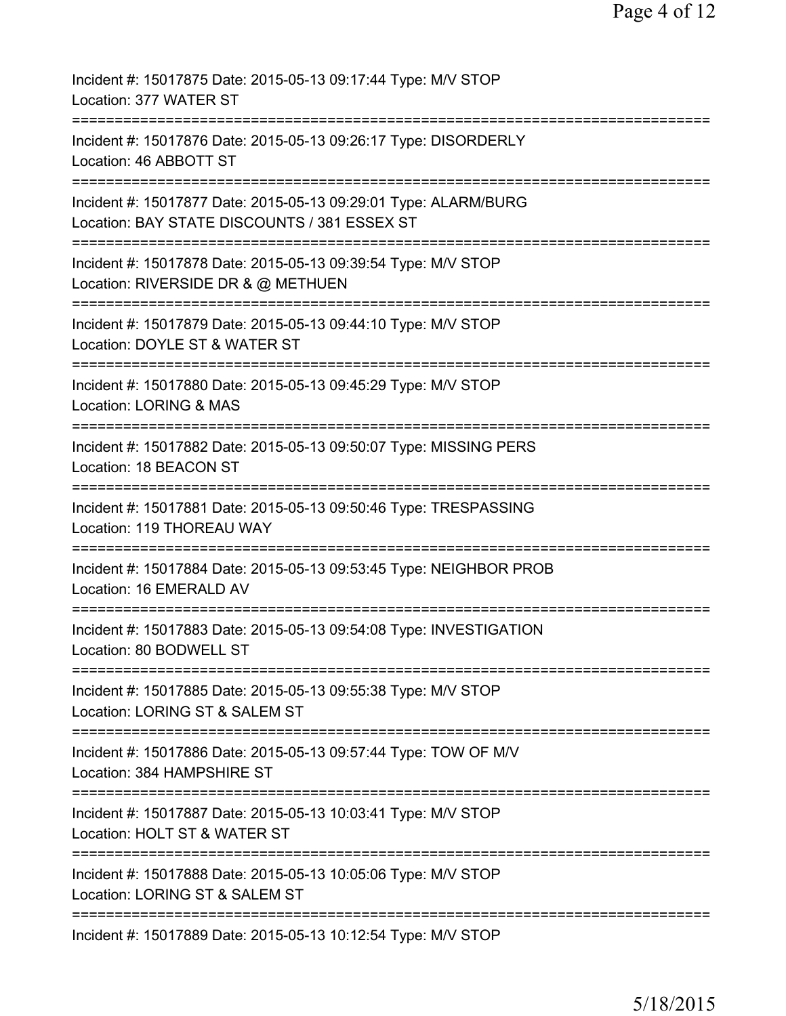| Incident #: 15017875 Date: 2015-05-13 09:17:44 Type: M/V STOP<br>Location: 377 WATER ST                                                                                         |
|---------------------------------------------------------------------------------------------------------------------------------------------------------------------------------|
| Incident #: 15017876 Date: 2015-05-13 09:26:17 Type: DISORDERLY<br>Location: 46 ABBOTT ST                                                                                       |
| Incident #: 15017877 Date: 2015-05-13 09:29:01 Type: ALARM/BURG<br>Location: BAY STATE DISCOUNTS / 381 ESSEX ST                                                                 |
| Incident #: 15017878 Date: 2015-05-13 09:39:54 Type: M/V STOP<br>Location: RIVERSIDE DR & @ METHUEN                                                                             |
| Incident #: 15017879 Date: 2015-05-13 09:44:10 Type: M/V STOP<br>Location: DOYLE ST & WATER ST                                                                                  |
| Incident #: 15017880 Date: 2015-05-13 09:45:29 Type: M/V STOP<br><b>Location: LORING &amp; MAS</b>                                                                              |
| Incident #: 15017882 Date: 2015-05-13 09:50:07 Type: MISSING PERS<br>Location: 18 BEACON ST<br>:=============================                                                   |
| Incident #: 15017881 Date: 2015-05-13 09:50:46 Type: TRESPASSING<br>Location: 119 THOREAU WAY                                                                                   |
| Incident #: 15017884 Date: 2015-05-13 09:53:45 Type: NEIGHBOR PROB<br>Location: 16 EMERALD AV                                                                                   |
| Incident #: 15017883 Date: 2015-05-13 09:54:08 Type: INVESTIGATION<br>Location: 80 BODWELL ST                                                                                   |
| ========================<br>Incident #: 15017885 Date: 2015-05-13 09:55:38 Type: M/V STOP<br>Location: LORING ST & SALEM ST                                                     |
| ==============================<br>==========================<br>==============<br>Incident #: 15017886 Date: 2015-05-13 09:57:44 Type: TOW OF M/V<br>Location: 384 HAMPSHIRE ST |
| Incident #: 15017887 Date: 2015-05-13 10:03:41 Type: M/V STOP<br>Location: HOLT ST & WATER ST                                                                                   |
| Incident #: 15017888 Date: 2015-05-13 10:05:06 Type: M/V STOP<br>Location: LORING ST & SALEM ST                                                                                 |
| Incident #: 15017889 Date: 2015-05-13 10:12:54 Type: M/V STOP                                                                                                                   |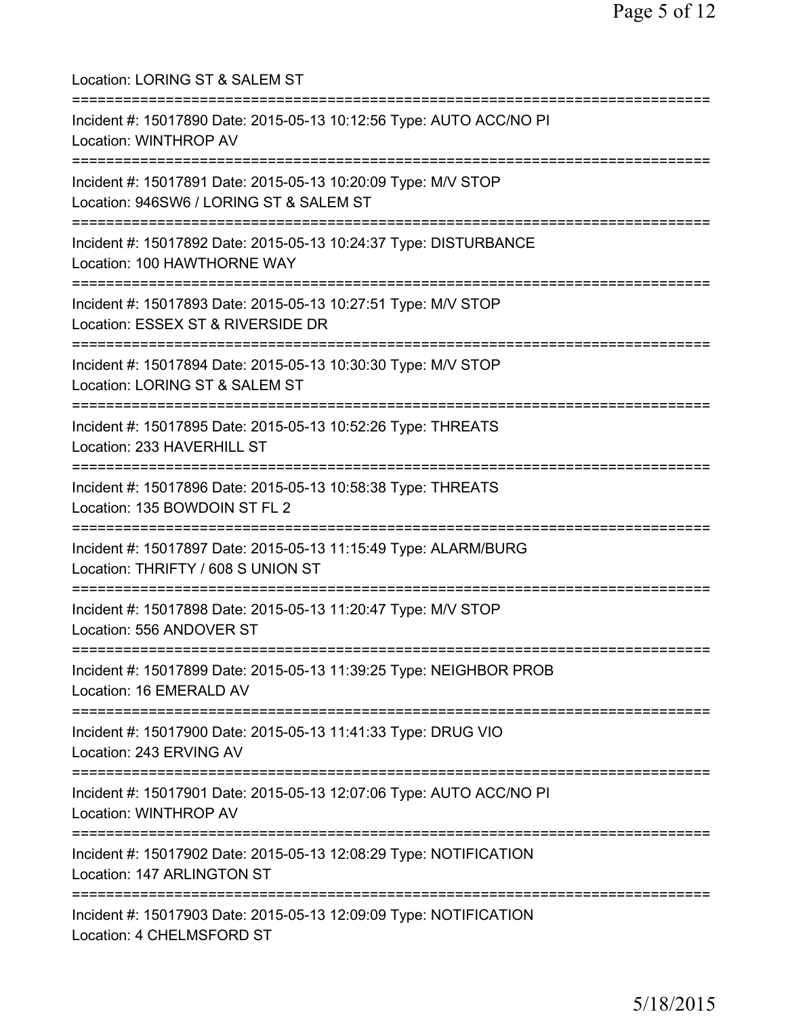| Location: LORING ST & SALEM ST                                                                                                             |
|--------------------------------------------------------------------------------------------------------------------------------------------|
| Incident #: 15017890 Date: 2015-05-13 10:12:56 Type: AUTO ACC/NO PI<br><b>Location: WINTHROP AV</b>                                        |
| Incident #: 15017891 Date: 2015-05-13 10:20:09 Type: M/V STOP<br>Location: 946SW6 / LORING ST & SALEM ST                                   |
| Incident #: 15017892 Date: 2015-05-13 10:24:37 Type: DISTURBANCE<br>Location: 100 HAWTHORNE WAY                                            |
| Incident #: 15017893 Date: 2015-05-13 10:27:51 Type: M/V STOP<br>Location: ESSEX ST & RIVERSIDE DR                                         |
| Incident #: 15017894 Date: 2015-05-13 10:30:30 Type: M/V STOP<br>Location: LORING ST & SALEM ST                                            |
| ___________________<br>Incident #: 15017895 Date: 2015-05-13 10:52:26 Type: THREATS<br>Location: 233 HAVERHILL ST                          |
| Incident #: 15017896 Date: 2015-05-13 10:58:38 Type: THREATS<br>Location: 135 BOWDOIN ST FL 2                                              |
| Incident #: 15017897 Date: 2015-05-13 11:15:49 Type: ALARM/BURG<br>Location: THRIFTY / 608 S UNION ST                                      |
| Incident #: 15017898 Date: 2015-05-13 11:20:47 Type: M/V STOP<br>Location: 556 ANDOVER ST                                                  |
| Incident #: 15017899 Date: 2015-05-13 11:39:25 Type: NEIGHBOR PROB<br>Location: 16 EMERALD AV                                              |
| ================================<br>Incident #: 15017900 Date: 2015-05-13 11:41:33 Type: DRUG VIO<br>Location: 243 ERVING AV               |
| ;==================================<br>Incident #: 15017901 Date: 2015-05-13 12:07:06 Type: AUTO ACC/NO PI<br><b>Location: WINTHROP AV</b> |
| ===================================<br>Incident #: 15017902 Date: 2015-05-13 12:08:29 Type: NOTIFICATION<br>Location: 147 ARLINGTON ST     |
| Incident #: 15017903 Date: 2015-05-13 12:09:09 Type: NOTIFICATION<br>Location: 4 CHELMSFORD ST                                             |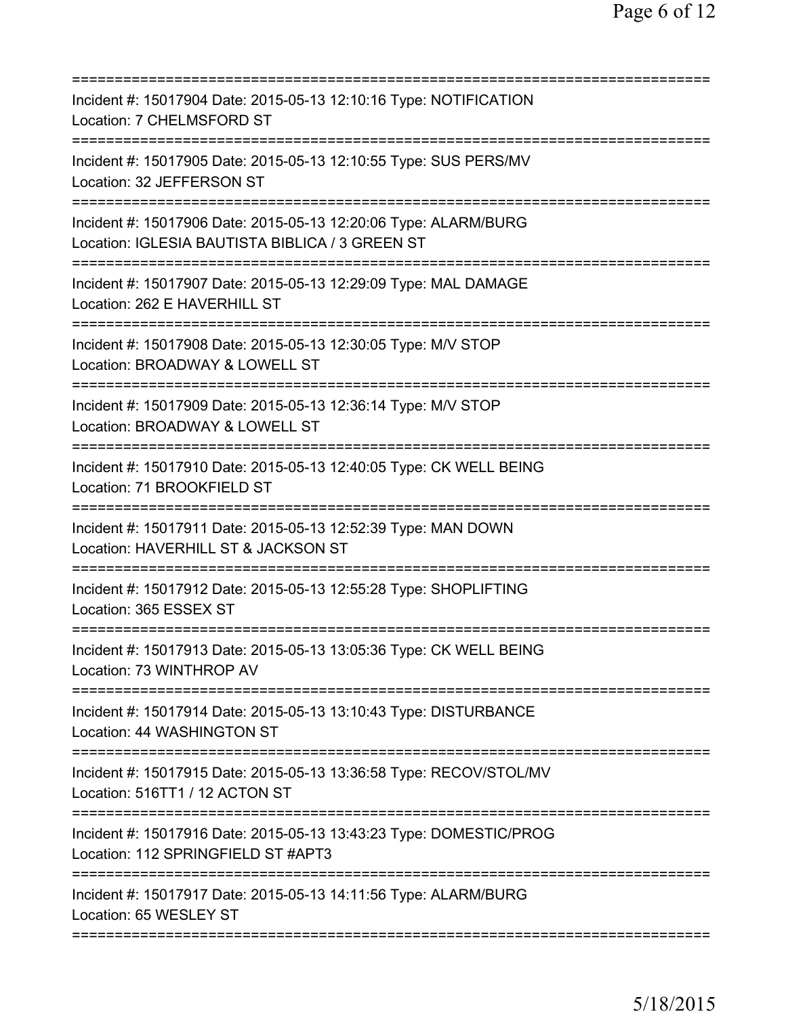| Incident #: 15017904 Date: 2015-05-13 12:10:16 Type: NOTIFICATION<br>Location: 7 CHELMSFORD ST                                                 |
|------------------------------------------------------------------------------------------------------------------------------------------------|
| Incident #: 15017905 Date: 2015-05-13 12:10:55 Type: SUS PERS/MV<br>Location: 32 JEFFERSON ST                                                  |
| Incident #: 15017906 Date: 2015-05-13 12:20:06 Type: ALARM/BURG<br>Location: IGLESIA BAUTISTA BIBLICA / 3 GREEN ST<br>==================       |
| Incident #: 15017907 Date: 2015-05-13 12:29:09 Type: MAL DAMAGE<br>Location: 262 E HAVERHILL ST                                                |
| ====================================<br>Incident #: 15017908 Date: 2015-05-13 12:30:05 Type: M/V STOP<br>Location: BROADWAY & LOWELL ST        |
| ===========================<br>------------<br>Incident #: 15017909 Date: 2015-05-13 12:36:14 Type: M/V STOP<br>Location: BROADWAY & LOWELL ST |
| Incident #: 15017910 Date: 2015-05-13 12:40:05 Type: CK WELL BEING<br>Location: 71 BROOKFIELD ST                                               |
| Incident #: 15017911 Date: 2015-05-13 12:52:39 Type: MAN DOWN<br>Location: HAVERHILL ST & JACKSON ST                                           |
| Incident #: 15017912 Date: 2015-05-13 12:55:28 Type: SHOPLIFTING<br>Location: 365 ESSEX ST                                                     |
| Incident #: 15017913 Date: 2015-05-13 13:05:36 Type: CK WELL BEING<br>Location: 73 WINTHROP AV                                                 |
| Incident #: 15017914 Date: 2015-05-13 13:10:43 Type: DISTURBANCE<br>Location: 44 WASHINGTON ST                                                 |
| Incident #: 15017915 Date: 2015-05-13 13:36:58 Type: RECOV/STOL/MV<br>Location: 516TT1 / 12 ACTON ST                                           |
| Incident #: 15017916 Date: 2015-05-13 13:43:23 Type: DOMESTIC/PROG<br>Location: 112 SPRINGFIELD ST #APT3                                       |
| Incident #: 15017917 Date: 2015-05-13 14:11:56 Type: ALARM/BURG<br>Location: 65 WESLEY ST                                                      |
|                                                                                                                                                |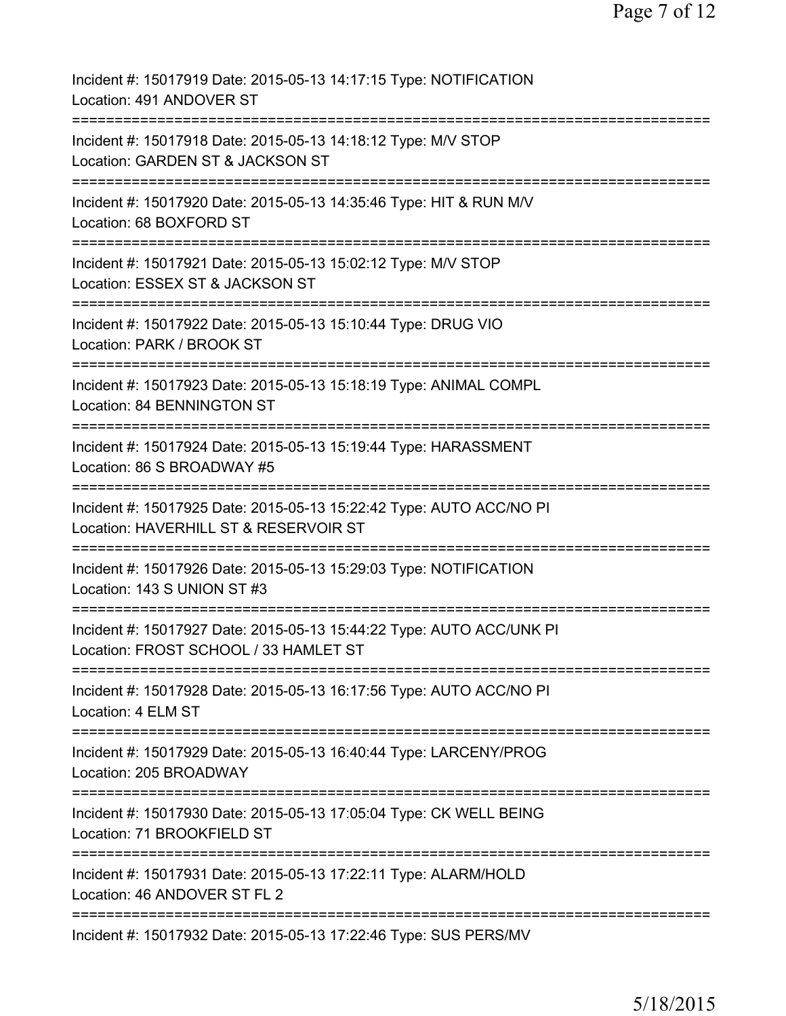| Incident #: 15017919 Date: 2015-05-13 14:17:15 Type: NOTIFICATION<br>Location: 491 ANDOVER ST                 |
|---------------------------------------------------------------------------------------------------------------|
| Incident #: 15017918 Date: 2015-05-13 14:18:12 Type: M/V STOP<br>Location: GARDEN ST & JACKSON ST             |
| Incident #: 15017920 Date: 2015-05-13 14:35:46 Type: HIT & RUN M/V<br>Location: 68 BOXFORD ST                 |
| Incident #: 15017921 Date: 2015-05-13 15:02:12 Type: M/V STOP<br>Location: ESSEX ST & JACKSON ST              |
| Incident #: 15017922 Date: 2015-05-13 15:10:44 Type: DRUG VIO<br>Location: PARK / BROOK ST                    |
| Incident #: 15017923 Date: 2015-05-13 15:18:19 Type: ANIMAL COMPL<br>Location: 84 BENNINGTON ST               |
| Incident #: 15017924 Date: 2015-05-13 15:19:44 Type: HARASSMENT<br>Location: 86 S BROADWAY #5                 |
| Incident #: 15017925 Date: 2015-05-13 15:22:42 Type: AUTO ACC/NO PI<br>Location: HAVERHILL ST & RESERVOIR ST  |
| Incident #: 15017926 Date: 2015-05-13 15:29:03 Type: NOTIFICATION<br>Location: 143 S UNION ST #3              |
| Incident #: 15017927 Date: 2015-05-13 15:44:22 Type: AUTO ACC/UNK PI<br>Location: FROST SCHOOL / 33 HAMLET ST |
| Incident #: 15017928 Date: 2015-05-13 16:17:56 Type: AUTO ACC/NO PI<br>Location: 4 ELM ST                     |
| Incident #: 15017929 Date: 2015-05-13 16:40:44 Type: LARCENY/PROG<br>Location: 205 BROADWAY                   |
| Incident #: 15017930 Date: 2015-05-13 17:05:04 Type: CK WELL BEING<br>Location: 71 BROOKFIELD ST              |
| Incident #: 15017931 Date: 2015-05-13 17:22:11 Type: ALARM/HOLD<br>Location: 46 ANDOVER ST FL 2               |
| Incident #: 15017932 Date: 2015-05-13 17:22:46 Type: SUS PERS/MV                                              |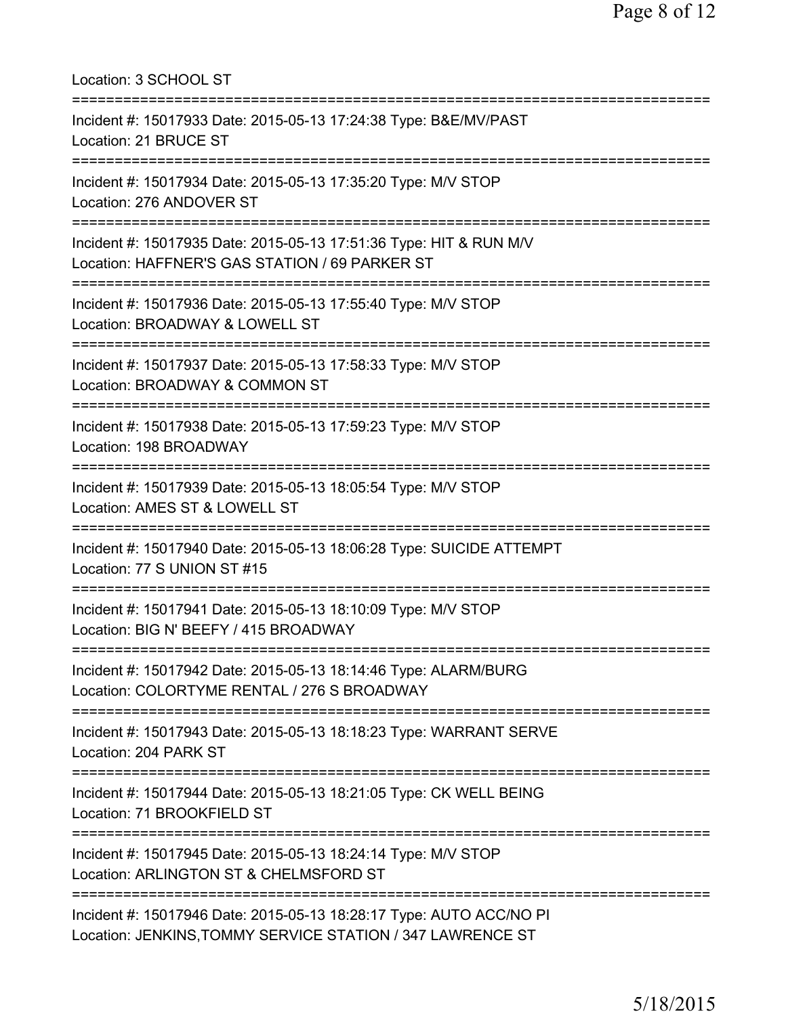| Location: 3 SCHOOL ST                                                                                                             |
|-----------------------------------------------------------------------------------------------------------------------------------|
| Incident #: 15017933 Date: 2015-05-13 17:24:38 Type: B&E/MV/PAST<br>Location: 21 BRUCE ST                                         |
| Incident #: 15017934 Date: 2015-05-13 17:35:20 Type: M/V STOP<br>Location: 276 ANDOVER ST                                         |
| Incident #: 15017935 Date: 2015-05-13 17:51:36 Type: HIT & RUN M/V<br>Location: HAFFNER'S GAS STATION / 69 PARKER ST              |
| Incident #: 15017936 Date: 2015-05-13 17:55:40 Type: M/V STOP<br>Location: BROADWAY & LOWELL ST                                   |
| Incident #: 15017937 Date: 2015-05-13 17:58:33 Type: M/V STOP<br>Location: BROADWAY & COMMON ST                                   |
| Incident #: 15017938 Date: 2015-05-13 17:59:23 Type: M/V STOP<br>Location: 198 BROADWAY                                           |
| Incident #: 15017939 Date: 2015-05-13 18:05:54 Type: M/V STOP<br>Location: AMES ST & LOWELL ST                                    |
| Incident #: 15017940 Date: 2015-05-13 18:06:28 Type: SUICIDE ATTEMPT<br>Location: 77 S UNION ST #15                               |
| Incident #: 15017941 Date: 2015-05-13 18:10:09 Type: M/V STOP<br>Location: BIG N' BEEFY / 415 BROADWAY                            |
| Incident #: 15017942 Date: 2015-05-13 18:14:46 Type: ALARM/BURG<br>Location: COLORTYME RENTAL / 276 S BROADWAY                    |
| Incident #: 15017943 Date: 2015-05-13 18:18:23 Type: WARRANT SERVE<br>Location: 204 PARK ST                                       |
| Incident #: 15017944 Date: 2015-05-13 18:21:05 Type: CK WELL BEING<br>Location: 71 BROOKFIELD ST                                  |
| Incident #: 15017945 Date: 2015-05-13 18:24:14 Type: M/V STOP<br>Location: ARLINGTON ST & CHELMSFORD ST                           |
| Incident #: 15017946 Date: 2015-05-13 18:28:17 Type: AUTO ACC/NO PI<br>Location: JENKINS, TOMMY SERVICE STATION / 347 LAWRENCE ST |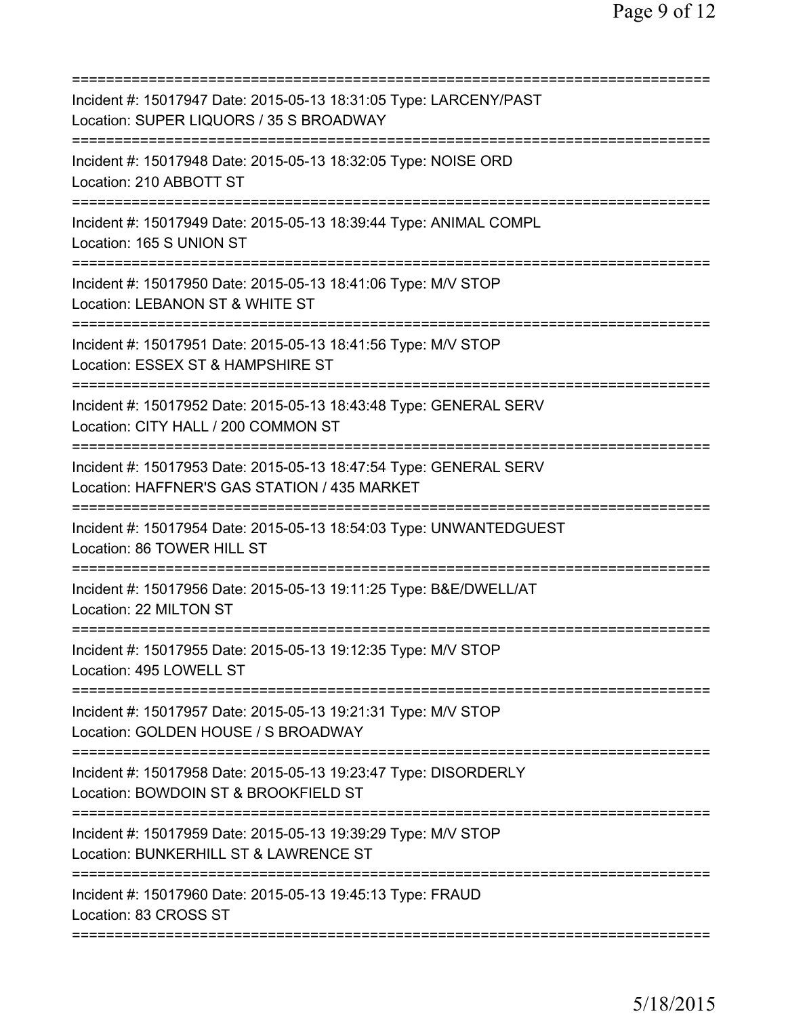| Incident #: 15017947 Date: 2015-05-13 18:31:05 Type: LARCENY/PAST<br>Location: SUPER LIQUORS / 35 S BROADWAY                                           |
|--------------------------------------------------------------------------------------------------------------------------------------------------------|
| Incident #: 15017948 Date: 2015-05-13 18:32:05 Type: NOISE ORD<br>Location: 210 ABBOTT ST                                                              |
| Incident #: 15017949 Date: 2015-05-13 18:39:44 Type: ANIMAL COMPL<br>Location: 165 S UNION ST                                                          |
| Incident #: 15017950 Date: 2015-05-13 18:41:06 Type: M/V STOP<br>Location: LEBANON ST & WHITE ST                                                       |
| Incident #: 15017951 Date: 2015-05-13 18:41:56 Type: M/V STOP<br>Location: ESSEX ST & HAMPSHIRE ST                                                     |
| Incident #: 15017952 Date: 2015-05-13 18:43:48 Type: GENERAL SERV<br>Location: CITY HALL / 200 COMMON ST                                               |
| Incident #: 15017953 Date: 2015-05-13 18:47:54 Type: GENERAL SERV<br>Location: HAFFNER'S GAS STATION / 435 MARKET<br>================================= |
| Incident #: 15017954 Date: 2015-05-13 18:54:03 Type: UNWANTEDGUEST<br>Location: 86 TOWER HILL ST<br>===========                                        |
| Incident #: 15017956 Date: 2015-05-13 19:11:25 Type: B&E/DWELL/AT<br>Location: 22 MILTON ST                                                            |
| Incident #: 15017955 Date: 2015-05-13 19:12:35 Type: M/V STOP<br>Location: 495 LOWELL ST                                                               |
| Incident #: 15017957 Date: 2015-05-13 19:21:31 Type: M/V STOP<br>Location: GOLDEN HOUSE / S BROADWAY                                                   |
| Incident #: 15017958 Date: 2015-05-13 19:23:47 Type: DISORDERLY<br>Location: BOWDOIN ST & BROOKFIELD ST                                                |
| Incident #: 15017959 Date: 2015-05-13 19:39:29 Type: M/V STOP<br>Location: BUNKERHILL ST & LAWRENCE ST                                                 |
| Incident #: 15017960 Date: 2015-05-13 19:45:13 Type: FRAUD<br>Location: 83 CROSS ST                                                                    |
|                                                                                                                                                        |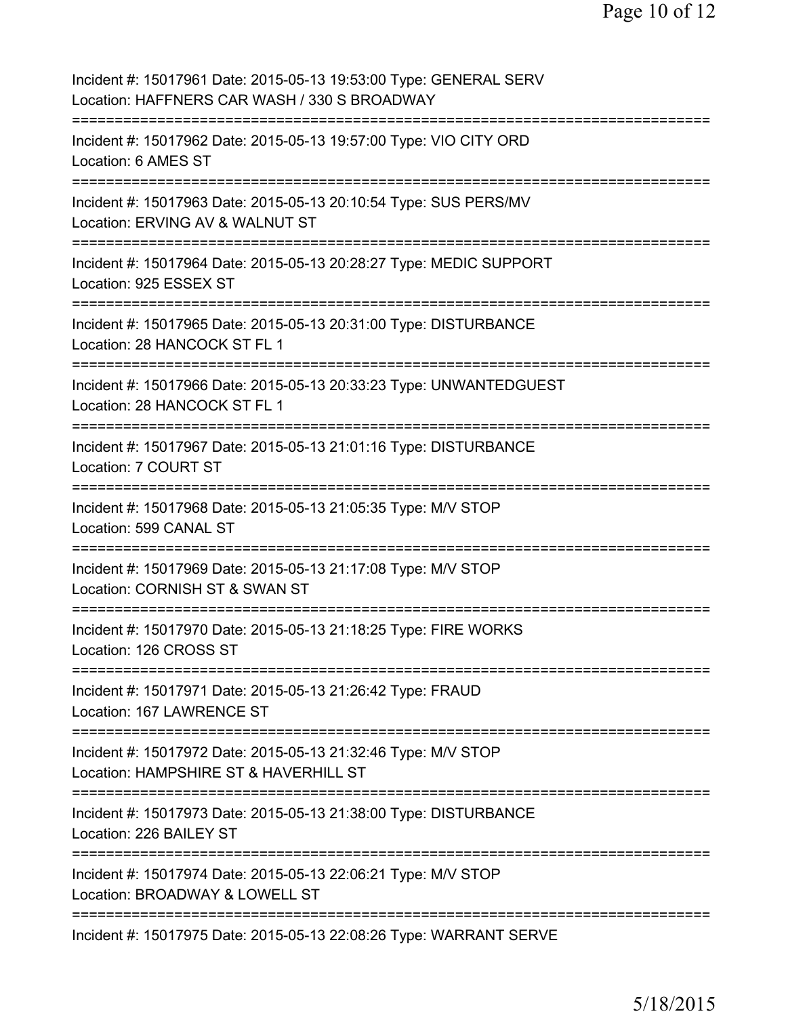Incident #: 15017961 Date: 2015-05-13 19:53:00 Type: GENERAL SERV Location: HAFFNERS CAR WASH / 330 S BROADWAY =========================================================================== Incident #: 15017962 Date: 2015-05-13 19:57:00 Type: VIO CITY ORD Location: 6 AMES ST =========================================================================== Incident #: 15017963 Date: 2015-05-13 20:10:54 Type: SUS PERS/MV Location: ERVING AV & WALNUT ST =========================================================================== Incident #: 15017964 Date: 2015-05-13 20:28:27 Type: MEDIC SUPPORT Location: 925 ESSEX ST =========================================================================== Incident #: 15017965 Date: 2015-05-13 20:31:00 Type: DISTURBANCE Location: 28 HANCOCK ST FL 1 =========================================================================== Incident #: 15017966 Date: 2015-05-13 20:33:23 Type: UNWANTEDGUEST Location: 28 HANCOCK ST FL 1 =========================================================================== Incident #: 15017967 Date: 2015-05-13 21:01:16 Type: DISTURBANCE Location: 7 COURT ST =========================================================================== Incident #: 15017968 Date: 2015-05-13 21:05:35 Type: M/V STOP Location: 599 CANAL ST =========================================================================== Incident #: 15017969 Date: 2015-05-13 21:17:08 Type: M/V STOP Location: CORNISH ST & SWAN ST =========================================================================== Incident #: 15017970 Date: 2015-05-13 21:18:25 Type: FIRE WORKS Location: 126 CROSS ST =========================================================================== Incident #: 15017971 Date: 2015-05-13 21:26:42 Type: FRAUD Location: 167 LAWRENCE ST =========================================================================== Incident #: 15017972 Date: 2015-05-13 21:32:46 Type: M/V STOP Location: HAMPSHIRE ST & HAVERHILL ST =========================================================================== Incident #: 15017973 Date: 2015-05-13 21:38:00 Type: DISTURBANCE Location: 226 BAILEY ST =========================================================================== Incident #: 15017974 Date: 2015-05-13 22:06:21 Type: M/V STOP Location: BROADWAY & LOWELL ST =========================================================================== Incident #: 15017975 Date: 2015-05-13 22:08:26 Type: WARRANT SERVE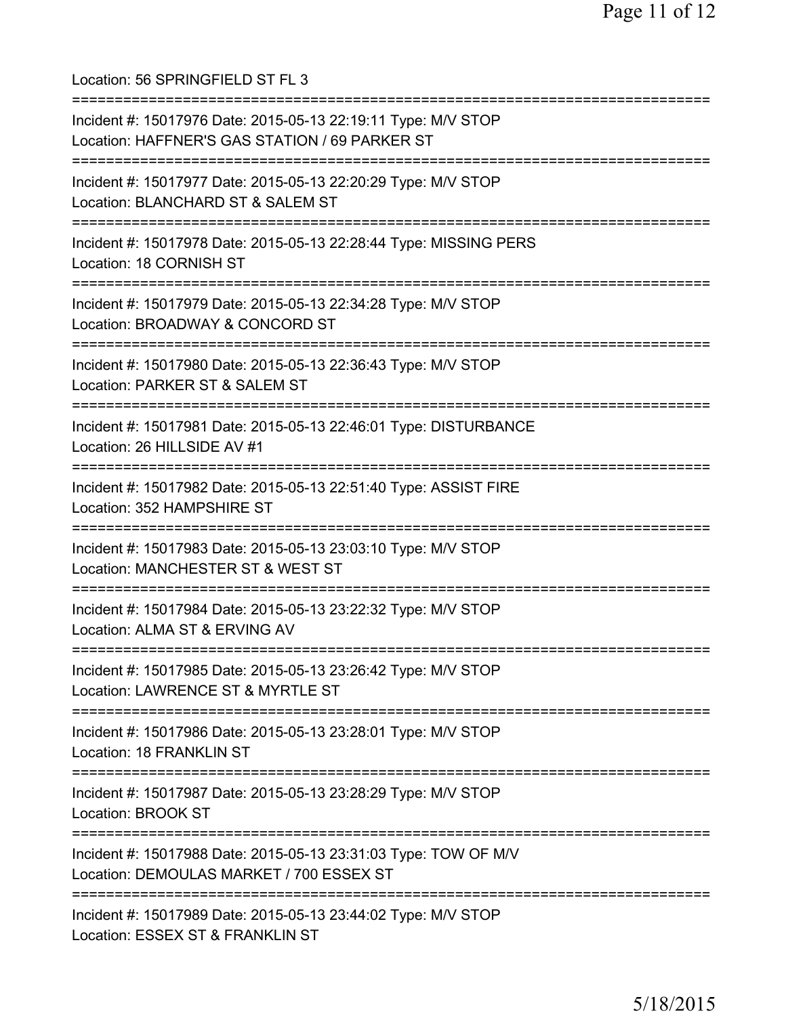Location: 56 SPRINGFIELD ST FL 3 =========================================================================== Incident #: 15017976 Date: 2015-05-13 22:19:11 Type: M/V STOP Location: HAFFNER'S GAS STATION / 69 PARKER ST =========================================================================== Incident #: 15017977 Date: 2015-05-13 22:20:29 Type: M/V STOP Location: BLANCHARD ST & SALEM ST =========================================================================== Incident #: 15017978 Date: 2015-05-13 22:28:44 Type: MISSING PERS Location: 18 CORNISH ST =========================================================================== Incident #: 15017979 Date: 2015-05-13 22:34:28 Type: M/V STOP Location: BROADWAY & CONCORD ST =========================================================================== Incident #: 15017980 Date: 2015-05-13 22:36:43 Type: M/V STOP Location: PARKER ST & SALEM ST =========================================================================== Incident #: 15017981 Date: 2015-05-13 22:46:01 Type: DISTURBANCE Location: 26 HILLSIDE AV #1 =========================================================================== Incident #: 15017982 Date: 2015-05-13 22:51:40 Type: ASSIST FIRE Location: 352 HAMPSHIRE ST =========================================================================== Incident #: 15017983 Date: 2015-05-13 23:03:10 Type: M/V STOP Location: MANCHESTER ST & WEST ST =========================================================================== Incident #: 15017984 Date: 2015-05-13 23:22:32 Type: M/V STOP Location: ALMA ST & ERVING AV =========================================================================== Incident #: 15017985 Date: 2015-05-13 23:26:42 Type: M/V STOP Location: LAWRENCE ST & MYRTLE ST =========================================================================== Incident #: 15017986 Date: 2015-05-13 23:28:01 Type: M/V STOP Location: 18 FRANKLIN ST =========================================================================== Incident #: 15017987 Date: 2015-05-13 23:28:29 Type: M/V STOP Location: BROOK ST =========================================================================== Incident #: 15017988 Date: 2015-05-13 23:31:03 Type: TOW OF M/V Location: DEMOULAS MARKET / 700 ESSEX ST =========================================================================== Incident #: 15017989 Date: 2015-05-13 23:44:02 Type: M/V STOP Location: ESSEX ST & FRANKLIN ST